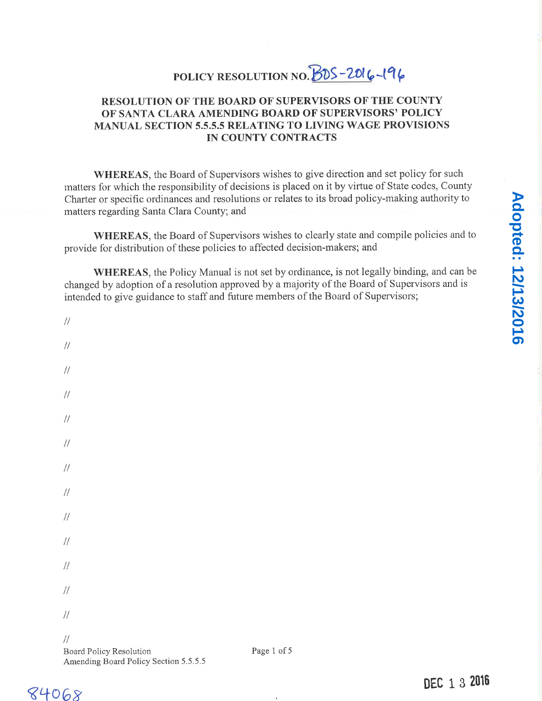# POLICY RESOLUTION NO.  $BDS-2016-196$

# RESOLUTION OF THE BOARD OF SUPERVISORS OF THE COUNTY OF SANTA CLARA AMENDING BOARD OF SUPERVISORS' POLICY MANUAL SECTION 5.5.5.5 RELATING TO LIVING WAGE PROVISIONS IN COUNTY CONTRACTS

WHEREAS, the Board of Supervisors wishes to give direction and set policy for such matters for which the responsibility of decisions is placed on it by virtue of State codes, County Charter or specific ordinances and resolutions or relates to its broad policy-making authority to matters regarding Santa Clara County; and

| provide for distribution of these policies to affected decision-makers; and                                                                                                         | WHEREAS, the Board of Supervisors wishes to clearly state and compile policies and to  |              |
|-------------------------------------------------------------------------------------------------------------------------------------------------------------------------------------|----------------------------------------------------------------------------------------|--------------|
| changed by adoption of a resolution approved by a majority of the Board of Supervisors and is<br>intended to give guidance to staff and future members of the Board of Supervisors; | WHEREAS, the Policy Manual is not set by ordinance, is not legally binding, and can be |              |
| $/\!/$                                                                                                                                                                              |                                                                                        |              |
| $/\!/$                                                                                                                                                                              |                                                                                        |              |
| $\frac{1}{2}$                                                                                                                                                                       |                                                                                        |              |
| $\frac{1}{2}$                                                                                                                                                                       |                                                                                        |              |
| $/\!/$                                                                                                                                                                              |                                                                                        |              |
| $\frac{1}{2}$                                                                                                                                                                       |                                                                                        |              |
| $/\!/$                                                                                                                                                                              |                                                                                        |              |
| $/\!/$                                                                                                                                                                              |                                                                                        |              |
| $/\!/$                                                                                                                                                                              |                                                                                        |              |
| $/\!/$                                                                                                                                                                              |                                                                                        |              |
| $/\!/$                                                                                                                                                                              |                                                                                        |              |
| $\frac{1}{2}$                                                                                                                                                                       |                                                                                        |              |
| $/\!/$                                                                                                                                                                              |                                                                                        |              |
| $\frac{1}{2}$<br>Board Policy Resolution<br>Amending Board Policy Section 5.5.5.5                                                                                                   | Page 1 of 5                                                                            |              |
|                                                                                                                                                                                     |                                                                                        | DEC 1 3 2016 |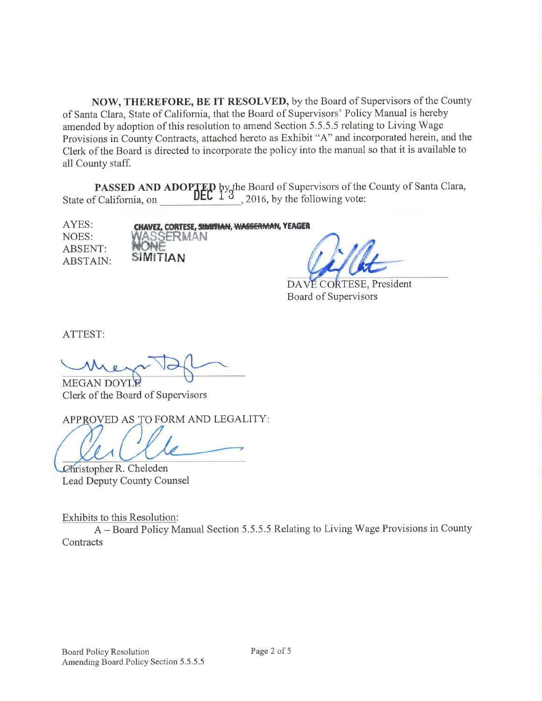NOW, THEREFORE, BE IT RESOLVED, by the Board of Supervisors of the County of Santa Clara, State of California, that the Board of Supervisors' Policy Manual is hereby amended by adoption of this resolution to amend Section 5.5.5.5 relating to Living Wage Provisions in County Contracts, attached hereto as Exhibit "A" and incorporated herein, and the Clerk of the Board is directed to incorporate the policy into the manual so that it is available to all County staff.

**PASSED AND ADOPTED** by the Board of Supervisors of the County of Santa Clara,<br>California, on **DEC**  $13$  2016, by the following vote: State of Califomia, on 20l6,by the following vote:

AYES: NOES: ABSENT: ABSTAIN:

CHAVEZ, CORTESE, SIMIFHAN, WASSERMAN, YEAGER SERMAN  $\boldsymbol{\mathsf{S}}$ imitian

DAVE CORTESE, President Board of Supervisors

ATTEST:

**MEGAN DOYI** Clerk of the Board of Supervisors

APPROVED AS TO FORM AND LEGALITY:

Christopher R. Cheleden Lead Deputy County Counsel

Exhibits to this Resolution:

<sup>A</sup>- Board Policy Manual Section 5.5.5.5 Relating to Living Wage Provisions in County **Contracts**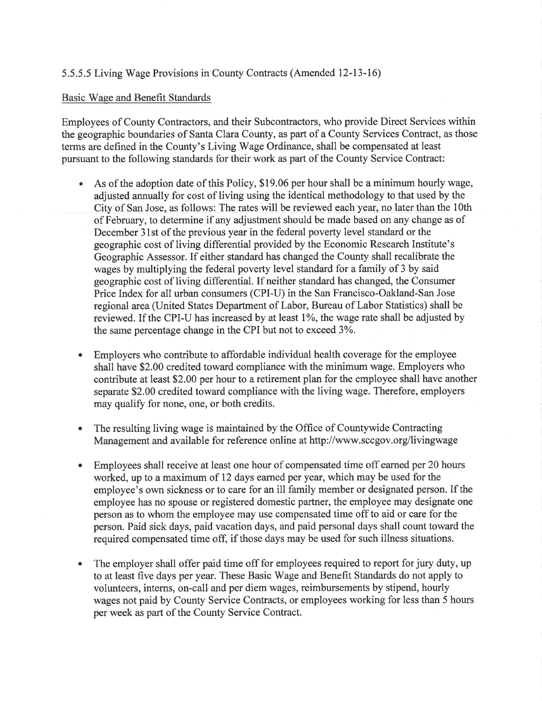# 5.5.5.5 Living Wage Provisions in County Contracts (Amended 12-13-16)

#### Basic'Wage and Benefit Standards

Employees of County Contractors, and their Subcontractors, who provide Direct Services within the geographic boundaries of Santa Clara County, as part of a County Services Contract, as those terms are defined in the County's Living Wage Ordinance, shall be compensated at least pursuant to the following standards for their work as part of the County Service Contract:

- $\bullet$ As of the adoption date of this Policy, \$19.06 per hour shall be a minimum hourly wage, adjusted annually for cost of living using the identical methodology to that used by the City of San Jose, as follows: The rates will be reviewed each year, no later than the 10th of February, to determine if any adjustment should be made based on any change as of December 3lst of the previous year in the federal poverty level standard or the geographic cost of living differential provided by the Economic Research Institute's Geographic Assessor. If either standard has changed the County shall recalibrate the wages by multiplying the federal poverty level standard for a family of 3 by said geographic cost of living differential. If neither standard has changed, the Consumer Price Index for all urban consumers (CPI-U) in the San Francisco-Oakland-San Jose regional area (United States Department of Labor, Bureau of Labor Statistics) shall be reviewed. If the CPI-U has increased by at least 1%, the wage rate shall be adjusted by the same percentage change in the CPI but not to exceed 3%.
- Employers who contribute to affordable individual health coverage for the employee shall have \$2.00 credited toward compliance with the minimum wage. Employers who contribute at least \$2.00 per hour to a retirement plan for the employee shall have another separate \$2.00 credited toward compliance with the living wage. Therefore, employers may qualify for none, one, or both credits. a
- a The resulting living wage is maintained by the Office of Countywide Contracting Management and available for reference online at http://www.sccgov.org/livingwage
- a Employees shall receive at least one hour of compensated time off earned per 20 hours worked, up to a maximum of 12 days eamed per year, which may be used for the employee's own sickness or to care for an ill family member or designated person. If the employee has no spouse or registered domestic partner, the employee may designate one person as to whom the employee may use compensated time off to aid or care for the person. Paid sick days, paid vacation days, and paid personal days shall count toward the required compensated time off; if those days may be used for such illness situations.
- The employer shall offer paid time off for employees required to report for jury duty, up to at least hve days per year. These Basic Wage and Benefit Standards do not apply to volunteers, interns, on-call and per diem wages, reimbursements by stipend, hourly wages not paid by County Service Contracts, or employees working for less than 5 hours per week as part of the County Service Contract. a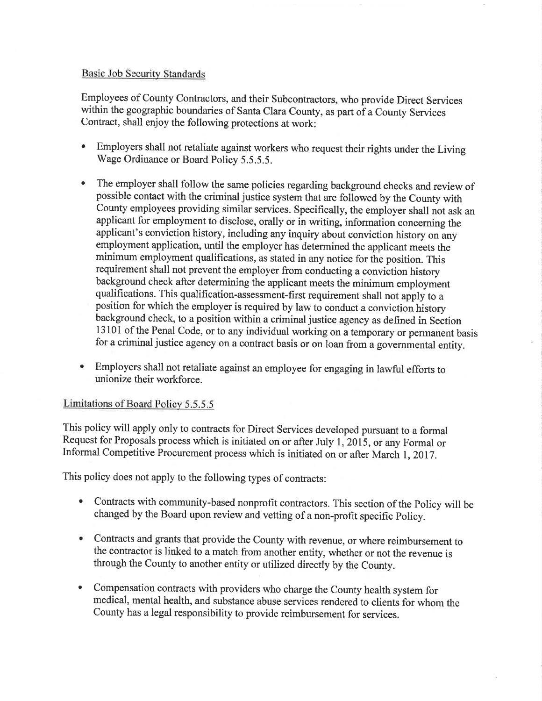### Basic Job Security Standards

Employees of County Contractors, and their Subcontractors, who provide Direct Services within the geographic boundaries of Santa Clara County, as part of a County Services Contract, shall enjoy the following protections at work:

- ' Employers shall not retaliate against workers who request their rights under the Living Wage Ordinance or Board Policy 5.5.5.5.
- The employer shall follow the same policies regarding background checks and review of possible contact with the criminal justice system that are followed by the County with County employees providing similar services. Specifically, the employer shall not ask an applicant for employment to disclose, orally or in writing, informaiion concerning the applicant's conviction history, including any inquiry about conviction history on any employment application, until the employer has determined the applicant meets the minimum employment qualifications, as stated in any notice for the position. This requirement shall not prevent the employer from conducting a conviction history background check after determining the applicant meets the minimum employment qualifications. This qualification-assessment-first requirement shall not apply to <sup>a</sup> position for which the employer is required by law to conduct a conviction history background check, to a position within a criminal justice agency as defined in Section 13101 of the Penal Code, or to any individual working on a temporary or permanent basis for a criminal justice agency on a contract basis or on loan frona governmental entity.
- ' Employers shall not retaliate against an employee for engaging in lawful efforts to unionize their workforce.

#### Limitations of Board Policy 5.5.5.5

This policy will apply only to contracts for Direct Services developed pursuant to a formal Request for Proposals process which is initiated on or after July 1, 2015, or any Formal or Informal Competitive Procurement process which is initiated on or after March 1, 2017.

This policy does not apply to the following types of contracts:

- ' Contracts with community-based nonprofit contractors. This section of the policy will be changed by the Board upon review and vetting of a non-profit specific Policy.
- ' Contracts and grants that provide the County with revenue, or where reimbursement to the contractor is linked to a match from another entity, whether or not the revenue is through the county to another entity or utilized directly by the county.
- Compensation contracts with providers who charge the County health system for medical, mental health, and substance abuse services rendered to clients for whom the county has a legal responsibility to provide reimbursement for services. o